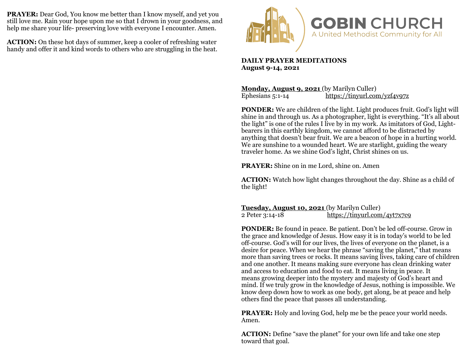**PRAYER:** Dear God, You know me better than I know myself, and yet you still love me. Rain your hope upon me so that I drown in your goodness, and help me share your life- preserving love with everyone I encounter. Amen.

**ACTION:** On these hot days of summer, keep a cooler of refreshing water handy and offer it and kind words to others who are struggling in the heat.



**DAILY PRAYER MEDITATIONS August 9-14, 2021**

**Monday, August 9, 2021** (by Marilyn Culler)<br>Ephesians 5:1-14 https://tinvurl.com <https://tinyurl.com/yzf4v97z>

**PONDER:** We are children of the light. Light produces fruit. God's light will shine in and through us. As a photographer, light is everything. "It's all about the light" is one of the rules I live by in my work. As imitators of God, Lightbearers in this earthly kingdom, we cannot afford to be distracted by anything that doesn't bear fruit. We are a beacon of hope in a hurting world. We are sunshine to a wounded heart. We are starlight, guiding the weary traveler home. As we shine God's light, Christ shines on us.

**PRAYER:** Shine on in me Lord, shine on. Amen

**ACTION:** Watch how light changes throughout the day. Shine as a child of the light!

**Tuesday, August 10, 2021** (by Marilyn Culler)<br>2 Peter 3:14-18 https://tinyurl.com  $https://tinyrl.com/4vt7x7c9$ 

**PONDER:** Be found in peace. Be patient. Don't be led off-course. Grow in the grace and knowledge of Jesus. How easy it is in today's world to be led off-course. God's will for our lives, the lives of everyone on the planet, is a desire for peace. When we hear the phrase "saving the planet," that means more than saving trees or rocks. It means saving lives, taking care of children and one another. It means making sure everyone has clean drinking water and access to education and food to eat. It means living in peace. It means growing deeper into the mystery and majesty of God's heart and mind. If we truly grow in the knowledge of Jesus, nothing is impossible. We know deep down how to work as one body, get along, be at peace and help others find the peace that passes all understanding.

**PRAYER:** Holy and loving God, help me be the peace your world needs. Amen.

**ACTION:** Define "save the planet" for your own life and take one step toward that goal.